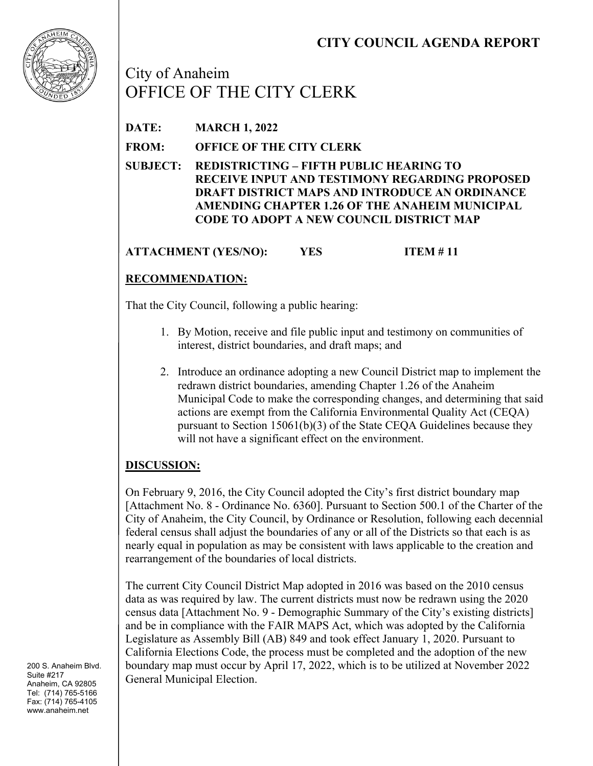

City of Anaheim OFFICE OF THE CITY CLERK

**DATE: MARCH 1, 2022**

**FROM: OFFICE OF THE CITY CLERK**

**SUBJECT: REDISTRICTING – FIFTH PUBLIC HEARING TO RECEIVE INPUT AND TESTIMONY REGARDING PROPOSED DRAFT DISTRICT MAPS AND INTRODUCE AN ORDINANCE AMENDING CHAPTER 1.26 OF THE ANAHEIM MUNICIPAL CODE TO ADOPT A NEW COUNCIL DISTRICT MAP**

**ATTACHMENT (YES/NO): YES ITEM # 11**

# **RECOMMENDATION:**

That the City Council, following a public hearing:

- 1. By Motion, receive and file public input and testimony on communities of interest, district boundaries, and draft maps; and
- 2. Introduce an ordinance adopting a new Council District map to implement the redrawn district boundaries, amending Chapter 1.26 of the Anaheim Municipal Code to make the corresponding changes, and determining that said actions are exempt from the California Environmental Quality Act (CEQA) pursuant to Section 15061(b)(3) of the State CEQA Guidelines because they will not have a significant effect on the environment.

## **DISCUSSION:**

On February 9, 2016, the City Council adopted the City's first district boundary map [Attachment No. 8 - Ordinance No. 6360]. Pursuant to Section 500.1 of the Charter of the City of Anaheim, the City Council, by Ordinance or Resolution, following each decennial federal census shall adjust the boundaries of any or all of the Districts so that each is as nearly equal in population as may be consistent with laws applicable to the creation and rearrangement of the boundaries of local districts.

The current City Council District Map adopted in 2016 was based on the 2010 census data as was required by law. The current districts must now be redrawn using the 2020 census data [Attachment No. 9 - Demographic Summary of the City's existing districts] and be in compliance with the FAIR MAPS Act, which was adopted by the California Legislature as Assembly Bill (AB) 849 and took effect January 1, 2020. Pursuant to California Elections Code, the process must be completed and the adoption of the new boundary map must occur by April 17, 2022, which is to be utilized at November 2022 General Municipal Election.

200 S. Anaheim Blvd. Suite #217 Anaheim, CA 92805 Tel: (714) 765-5166 Fax: (714) 765-4105 www.anaheim.net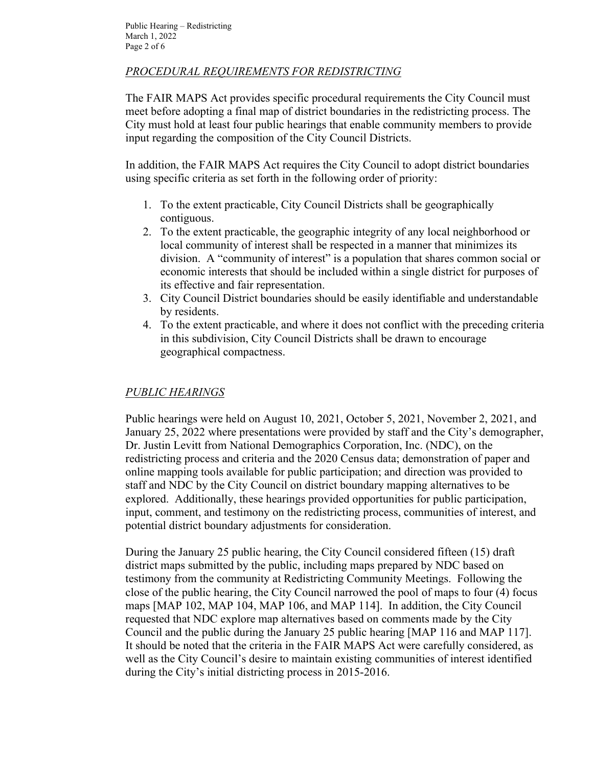## *PROCEDURAL REQUIREMENTS FOR REDISTRICTING*

The FAIR MAPS Act provides specific procedural requirements the City Council must meet before adopting a final map of district boundaries in the redistricting process. The City must hold at least four public hearings that enable community members to provide input regarding the composition of the City Council Districts.

In addition, the FAIR MAPS Act requires the City Council to adopt district boundaries using specific criteria as set forth in the following order of priority:

- 1. To the extent practicable, City Council Districts shall be geographically contiguous.
- 2. To the extent practicable, the geographic integrity of any local neighborhood or local community of interest shall be respected in a manner that minimizes its division. A "community of interest" is a population that shares common social or economic interests that should be included within a single district for purposes of its effective and fair representation.
- 3. City Council District boundaries should be easily identifiable and understandable by residents.
- 4. To the extent practicable, and where it does not conflict with the preceding criteria in this subdivision, City Council Districts shall be drawn to encourage geographical compactness.

#### *PUBLIC HEARINGS*

Public hearings were held on August 10, 2021, October 5, 2021, November 2, 2021, and January 25, 2022 where presentations were provided by staff and the City's demographer, Dr. Justin Levitt from National Demographics Corporation, Inc. (NDC), on the redistricting process and criteria and the 2020 Census data; demonstration of paper and online mapping tools available for public participation; and direction was provided to staff and NDC by the City Council on district boundary mapping alternatives to be explored. Additionally, these hearings provided opportunities for public participation, input, comment, and testimony on the redistricting process, communities of interest, and potential district boundary adjustments for consideration.

During the January 25 public hearing, the City Council considered fifteen (15) draft district maps submitted by the public, including maps prepared by NDC based on testimony from the community at Redistricting Community Meetings. Following the close of the public hearing, the City Council narrowed the pool of maps to four (4) focus maps [MAP 102, MAP 104, MAP 106, and MAP 114]. In addition, the City Council requested that NDC explore map alternatives based on comments made by the City Council and the public during the January 25 public hearing [MAP 116 and MAP 117]. It should be noted that the criteria in the FAIR MAPS Act were carefully considered, as well as the City Council's desire to maintain existing communities of interest identified during the City's initial districting process in 2015-2016.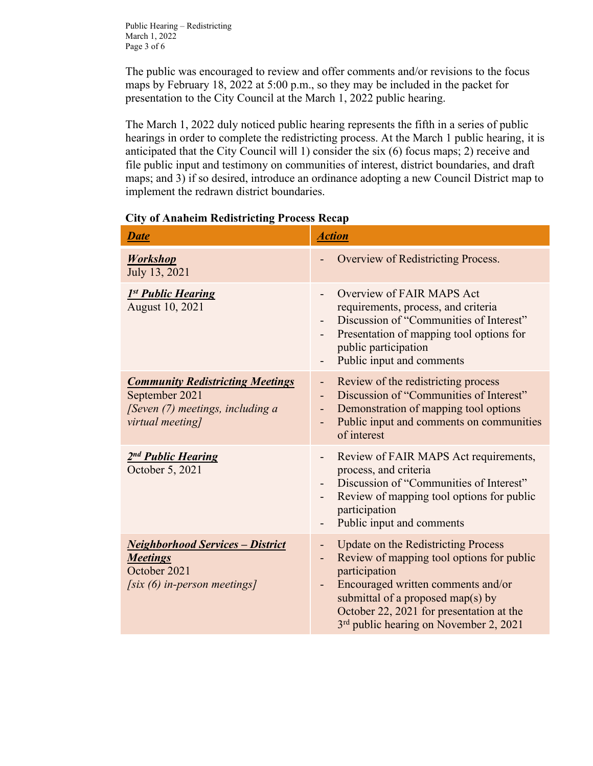Public Hearing – Redistricting March 1, 2022 Page 3 of 6

The public was encouraged to review and offer comments and/or revisions to the focus maps by February 18, 2022 at 5:00 p.m., so they may be included in the packet for presentation to the City Council at the March 1, 2022 public hearing.

The March 1, 2022 duly noticed public hearing represents the fifth in a series of public hearings in order to complete the redistricting process. At the March 1 public hearing, it is anticipated that the City Council will 1) consider the six (6) focus maps; 2) receive and file public input and testimony on communities of interest, district boundaries, and draft maps; and 3) if so desired, introduce an ordinance adopting a new Council District map to implement the redrawn district boundaries.

| <b>Date</b>                                                                                                       | <b>Action</b>                                                                                                                                                                                                                                                                                                                                      |  |
|-------------------------------------------------------------------------------------------------------------------|----------------------------------------------------------------------------------------------------------------------------------------------------------------------------------------------------------------------------------------------------------------------------------------------------------------------------------------------------|--|
| <b>Workshop</b><br>July 13, 2021                                                                                  | Overview of Redistricting Process.                                                                                                                                                                                                                                                                                                                 |  |
| 1st Public Hearing<br><b>August 10, 2021</b>                                                                      | Overview of FAIR MAPS Act<br>requirements, process, and criteria<br>Discussion of "Communities of Interest"<br>Presentation of mapping tool options for<br>public participation<br>Public input and comments                                                                                                                                       |  |
| <b>Community Redistricting Meetings</b><br>September 2021<br>[Seven (7) meetings, including a<br>virtual meeting] | Review of the redistricting process<br>Ξ.<br>Discussion of "Communities of Interest"<br>Demonstration of mapping tool options<br>Public input and comments on communities<br>of interest                                                                                                                                                           |  |
| 2nd Public Hearing<br>October 5, 2021                                                                             | Review of FAIR MAPS Act requirements,<br>-<br>process, and criteria<br>Discussion of "Communities of Interest"<br>Review of mapping tool options for public<br>participation<br>Public input and comments                                                                                                                                          |  |
| <b>Neighborhood Services - District</b><br><b>Meetings</b><br>October 2021<br>[six $(6)$ in-person meetings]      | <b>Update on the Redistricting Process</b><br>٠<br>Review of mapping tool options for public<br>$\overline{\phantom{0}}$<br>participation<br>Encouraged written comments and/or<br>$\overline{\phantom{a}}$<br>submittal of a proposed map(s) by<br>October 22, 2021 for presentation at the<br>3 <sup>rd</sup> public hearing on November 2, 2021 |  |

#### **City of Anaheim Redistricting Process Recap**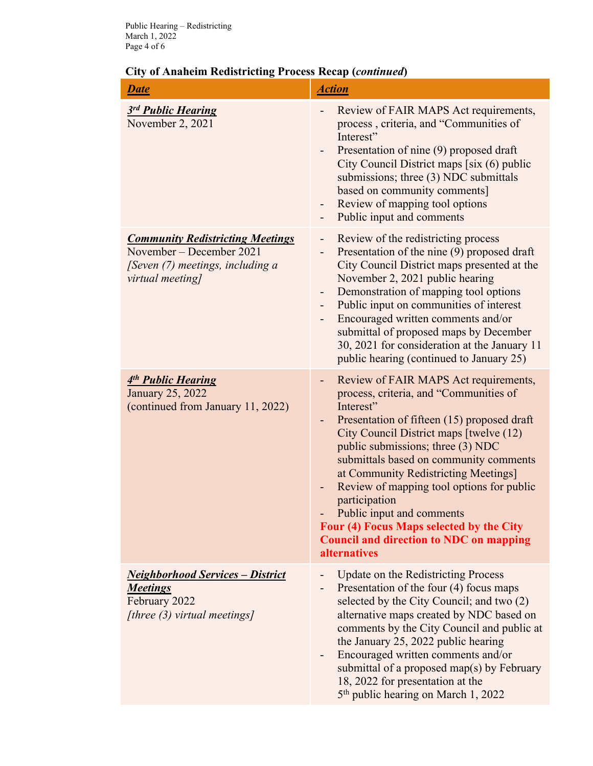| <b>Date</b>                                                                                                                 | <b>Action</b>                                                                                                                                                                                                                                                                                                                                                                                                                                                                                                                                                       |  |
|-----------------------------------------------------------------------------------------------------------------------------|---------------------------------------------------------------------------------------------------------------------------------------------------------------------------------------------------------------------------------------------------------------------------------------------------------------------------------------------------------------------------------------------------------------------------------------------------------------------------------------------------------------------------------------------------------------------|--|
| 3rd Public Hearing<br>November 2, 2021                                                                                      | Review of FAIR MAPS Act requirements,<br>process, criteria, and "Communities of<br>Interest"<br>Presentation of nine (9) proposed draft<br>$\sim$<br>City Council District maps [six (6) public<br>submissions; three (3) NDC submittals<br>based on community comments]<br>Review of mapping tool options<br>-<br>Public input and comments<br>-                                                                                                                                                                                                                   |  |
| <b>Community Redistricting Meetings</b><br>November – December 2021<br>[Seven (7) meetings, including a<br>virtual meeting] | Review of the redistricting process<br>-<br>Presentation of the nine (9) proposed draft<br>City Council District maps presented at the<br>November 2, 2021 public hearing<br>Demonstration of mapping tool options<br>$\overline{\phantom{0}}$<br>Public input on communities of interest<br>Encouraged written comments and/or<br>submittal of proposed maps by December<br>30, 2021 for consideration at the January 11<br>public hearing (continued to January 25)                                                                                               |  |
| 4 <sup>th</sup> Public Hearing<br>January 25, 2022<br>(continued from January 11, 2022)                                     | Review of FAIR MAPS Act requirements,<br>$\overline{\phantom{0}}$<br>process, criteria, and "Communities of<br>Interest"<br>Presentation of fifteen (15) proposed draft<br>٠<br>City Council District maps [twelve (12)<br>public submissions; three (3) NDC<br>submittals based on community comments<br>at Community Redistricting Meetings]<br>Review of mapping tool options for public<br>٠<br>participation<br>Public input and comments<br>Four (4) Focus Maps selected by the City<br><b>Council and direction to NDC on mapping</b><br><i>alternatives</i> |  |
| <b>Neighborhood Services - District</b><br><b>Meetings</b><br>February 2022<br>[three $(3)$ virtual meetings]               | Update on the Redistricting Process<br>Presentation of the four (4) focus maps<br>$\overline{\phantom{0}}$<br>selected by the City Council; and two (2)<br>alternative maps created by NDC based on<br>comments by the City Council and public at<br>the January 25, 2022 public hearing<br>Encouraged written comments and/or<br>$\overline{\phantom{0}}$<br>submittal of a proposed map(s) by February<br>18, 2022 for presentation at the<br>5 <sup>th</sup> public hearing on March 1, 2022                                                                     |  |

# **City of Anaheim Redistricting Process Recap (***continued***)**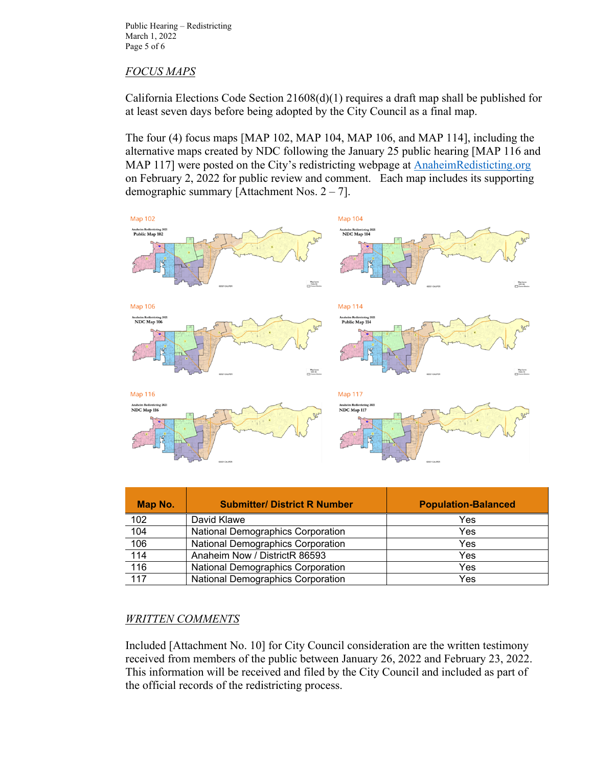Public Hearing – Redistricting March 1, 2022 Page 5 of 6

### *FOCUS MAPS*

California Elections Code Section 21608(d)(1) requires a draft map shall be published for at least seven days before being adopted by the City Council as a final map.

The four (4) focus maps [MAP 102, MAP 104, MAP 106, and MAP 114], including the alternative maps created by NDC following the January 25 public hearing [MAP 116 and MAP 117] were posted on the City's redistricting webpage at AnaheimRedisticting.org on February 2, 2022 for public review and comment. Each map includes its supporting demographic summary [Attachment Nos. 2 – 7].



| Map No. | <b>Submitter/ District R Number</b>      | <b>Population-Balanced</b> |
|---------|------------------------------------------|----------------------------|
| 102     | David Klawe                              | Yes                        |
| 104     | <b>National Demographics Corporation</b> | Yes                        |
| 106     | <b>National Demographics Corporation</b> | Yes                        |
| 114     | Anaheim Now / DistrictR 86593            | Yes                        |
| 116     | <b>National Demographics Corporation</b> | Yes                        |
| 117     | <b>National Demographics Corporation</b> | Yes                        |

#### *WRITTEN COMMENTS*

Included [Attachment No. 10] for City Council consideration are the written testimony received from members of the public between January 26, 2022 and February 23, 2022. This information will be received and filed by the City Council and included as part of the official records of the redistricting process.